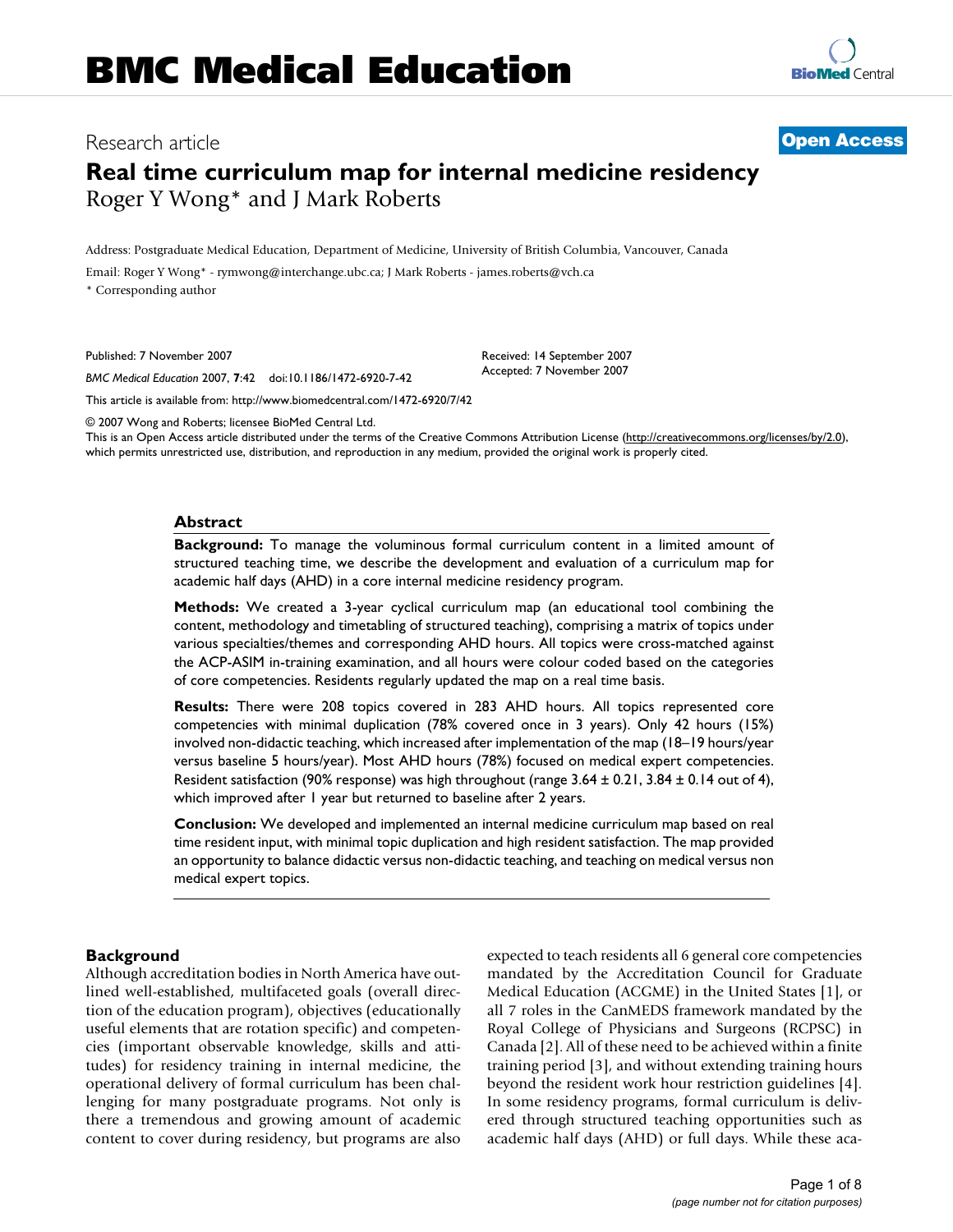# Research article **[Open Access](http://www.biomedcentral.com/info/about/charter/)**

# **Real time curriculum map for internal medicine residency** Roger Y Wong\* and J Mark Roberts

Address: Postgraduate Medical Education, Department of Medicine, University of British Columbia, Vancouver, Canada

Email: Roger Y Wong\* - rymwong@interchange.ubc.ca; J Mark Roberts - james.roberts@vch.ca

\* Corresponding author

Published: 7 November 2007

*BMC Medical Education* 2007, **7**:42 doi:10.1186/1472-6920-7-42

[This article is available from: http://www.biomedcentral.com/1472-6920/7/42](http://www.biomedcentral.com/1472-6920/7/42)

© 2007 Wong and Roberts; licensee BioMed Central Ltd.

This is an Open Access article distributed under the terms of the Creative Commons Attribution License [\(http://creativecommons.org/licenses/by/2.0\)](http://creativecommons.org/licenses/by/2.0), which permits unrestricted use, distribution, and reproduction in any medium, provided the original work is properly cited.

Received: 14 September 2007 Accepted: 7 November 2007

#### **Abstract**

**Background:** To manage the voluminous formal curriculum content in a limited amount of structured teaching time, we describe the development and evaluation of a curriculum map for academic half days (AHD) in a core internal medicine residency program.

**Methods:** We created a 3-year cyclical curriculum map (an educational tool combining the content, methodology and timetabling of structured teaching), comprising a matrix of topics under various specialties/themes and corresponding AHD hours. All topics were cross-matched against the ACP-ASIM in-training examination, and all hours were colour coded based on the categories of core competencies. Residents regularly updated the map on a real time basis.

**Results:** There were 208 topics covered in 283 AHD hours. All topics represented core competencies with minimal duplication (78% covered once in 3 years). Only 42 hours (15%) involved non-didactic teaching, which increased after implementation of the map (18–19 hours/year versus baseline 5 hours/year). Most AHD hours (78%) focused on medical expert competencies. Resident satisfaction (90% response) was high throughout (range  $3.64 \pm 0.21$ ,  $3.84 \pm 0.14$  out of 4), which improved after 1 year but returned to baseline after 2 years.

**Conclusion:** We developed and implemented an internal medicine curriculum map based on real time resident input, with minimal topic duplication and high resident satisfaction. The map provided an opportunity to balance didactic versus non-didactic teaching, and teaching on medical versus non medical expert topics.

#### **Background**

Although accreditation bodies in North America have outlined well-established, multifaceted goals (overall direction of the education program), objectives (educationally useful elements that are rotation specific) and competencies (important observable knowledge, skills and attitudes) for residency training in internal medicine, the operational delivery of formal curriculum has been challenging for many postgraduate programs. Not only is there a tremendous and growing amount of academic content to cover during residency, but programs are also expected to teach residents all 6 general core competencies mandated by the Accreditation Council for Graduate Medical Education (ACGME) in the United States [1], or all 7 roles in the CanMEDS framework mandated by the Royal College of Physicians and Surgeons (RCPSC) in Canada [2]. All of these need to be achieved within a finite training period [3], and without extending training hours beyond the resident work hour restriction guidelines [4]. In some residency programs, formal curriculum is delivered through structured teaching opportunities such as academic half days (AHD) or full days. While these aca-

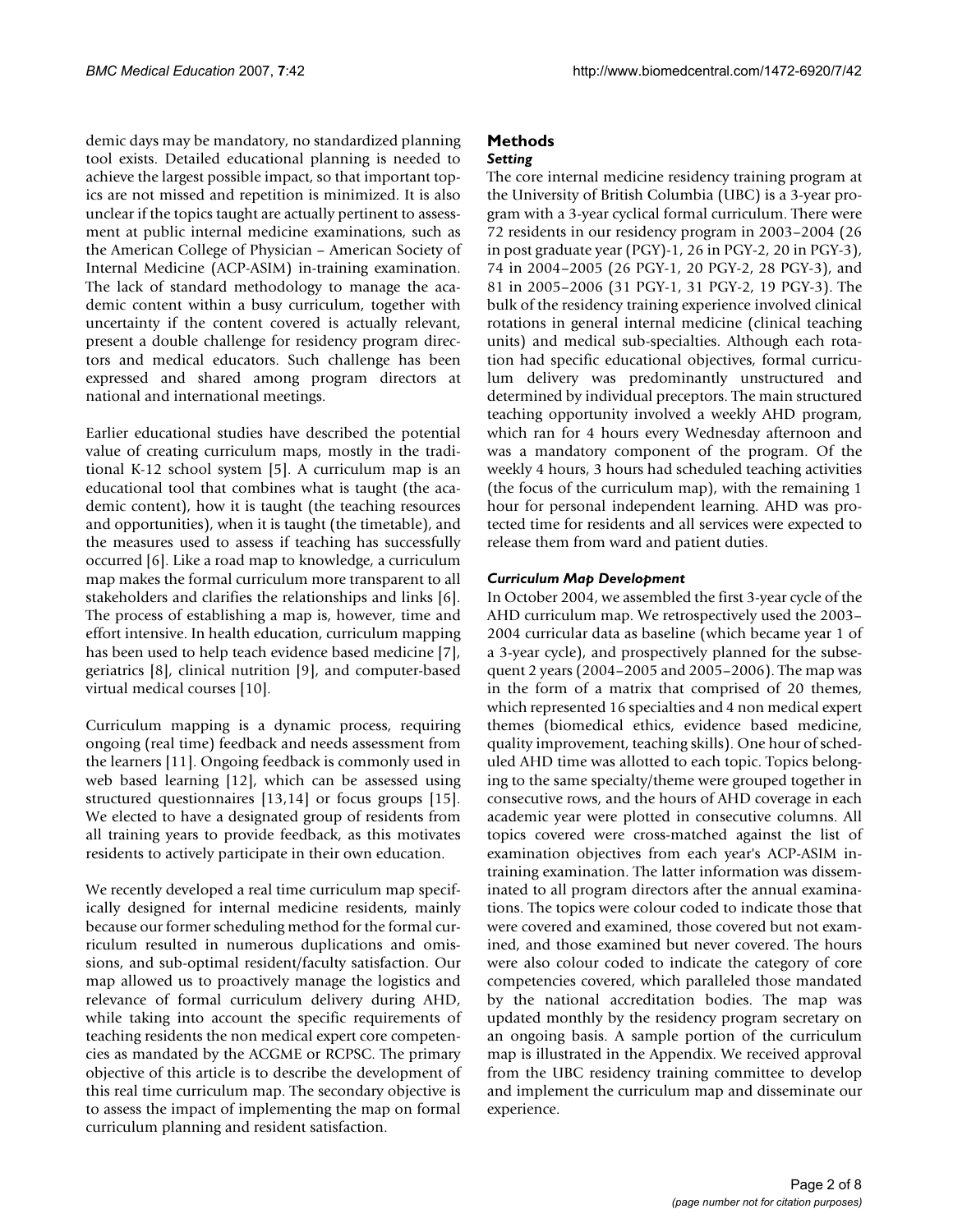demic days may be mandatory, no standardized planning tool exists. Detailed educational planning is needed to achieve the largest possible impact, so that important topics are not missed and repetition is minimized. It is also unclear if the topics taught are actually pertinent to assessment at public internal medicine examinations, such as the American College of Physician – American Society of Internal Medicine (ACP-ASIM) in-training examination. The lack of standard methodology to manage the academic content within a busy curriculum, together with uncertainty if the content covered is actually relevant, present a double challenge for residency program directors and medical educators. Such challenge has been expressed and shared among program directors at national and international meetings.

Earlier educational studies have described the potential value of creating curriculum maps, mostly in the traditional K-12 school system [5]. A curriculum map is an educational tool that combines what is taught (the academic content), how it is taught (the teaching resources and opportunities), when it is taught (the timetable), and the measures used to assess if teaching has successfully occurred [6]. Like a road map to knowledge, a curriculum map makes the formal curriculum more transparent to all stakeholders and clarifies the relationships and links [6]. The process of establishing a map is, however, time and effort intensive. In health education, curriculum mapping has been used to help teach evidence based medicine [7], geriatrics [8], clinical nutrition [9], and computer-based virtual medical courses [10].

Curriculum mapping is a dynamic process, requiring ongoing (real time) feedback and needs assessment from the learners [11]. Ongoing feedback is commonly used in web based learning [12], which can be assessed using structured questionnaires [13,14] or focus groups [15]. We elected to have a designated group of residents from all training years to provide feedback, as this motivates residents to actively participate in their own education.

We recently developed a real time curriculum map specifically designed for internal medicine residents, mainly because our former scheduling method for the formal curriculum resulted in numerous duplications and omissions, and sub-optimal resident/faculty satisfaction. Our map allowed us to proactively manage the logistics and relevance of formal curriculum delivery during AHD, while taking into account the specific requirements of teaching residents the non medical expert core competencies as mandated by the ACGME or RCPSC. The primary objective of this article is to describe the development of this real time curriculum map. The secondary objective is to assess the impact of implementing the map on formal curriculum planning and resident satisfaction.

# **Methods**

# *Setting*

The core internal medicine residency training program at the University of British Columbia (UBC) is a 3-year program with a 3-year cyclical formal curriculum. There were 72 residents in our residency program in 2003–2004 (26 in post graduate year (PGY)-1, 26 in PGY-2, 20 in PGY-3), 74 in 2004–2005 (26 PGY-1, 20 PGY-2, 28 PGY-3), and 81 in 2005–2006 (31 PGY-1, 31 PGY-2, 19 PGY-3). The bulk of the residency training experience involved clinical rotations in general internal medicine (clinical teaching units) and medical sub-specialties. Although each rotation had specific educational objectives, formal curriculum delivery was predominantly unstructured and determined by individual preceptors. The main structured teaching opportunity involved a weekly AHD program, which ran for 4 hours every Wednesday afternoon and was a mandatory component of the program. Of the weekly 4 hours, 3 hours had scheduled teaching activities (the focus of the curriculum map), with the remaining 1 hour for personal independent learning. AHD was protected time for residents and all services were expected to release them from ward and patient duties.

# *Curriculum Map Development*

In October 2004, we assembled the first 3-year cycle of the AHD curriculum map. We retrospectively used the 2003– 2004 curricular data as baseline (which became year 1 of a 3-year cycle), and prospectively planned for the subsequent 2 years (2004–2005 and 2005–2006). The map was in the form of a matrix that comprised of 20 themes, which represented 16 specialties and 4 non medical expert themes (biomedical ethics, evidence based medicine, quality improvement, teaching skills). One hour of scheduled AHD time was allotted to each topic. Topics belonging to the same specialty/theme were grouped together in consecutive rows, and the hours of AHD coverage in each academic year were plotted in consecutive columns. All topics covered were cross-matched against the list of examination objectives from each year's ACP-ASIM intraining examination. The latter information was disseminated to all program directors after the annual examinations. The topics were colour coded to indicate those that were covered and examined, those covered but not examined, and those examined but never covered. The hours were also colour coded to indicate the category of core competencies covered, which paralleled those mandated by the national accreditation bodies. The map was updated monthly by the residency program secretary on an ongoing basis. A sample portion of the curriculum map is illustrated in the Appendix. We received approval from the UBC residency training committee to develop and implement the curriculum map and disseminate our experience.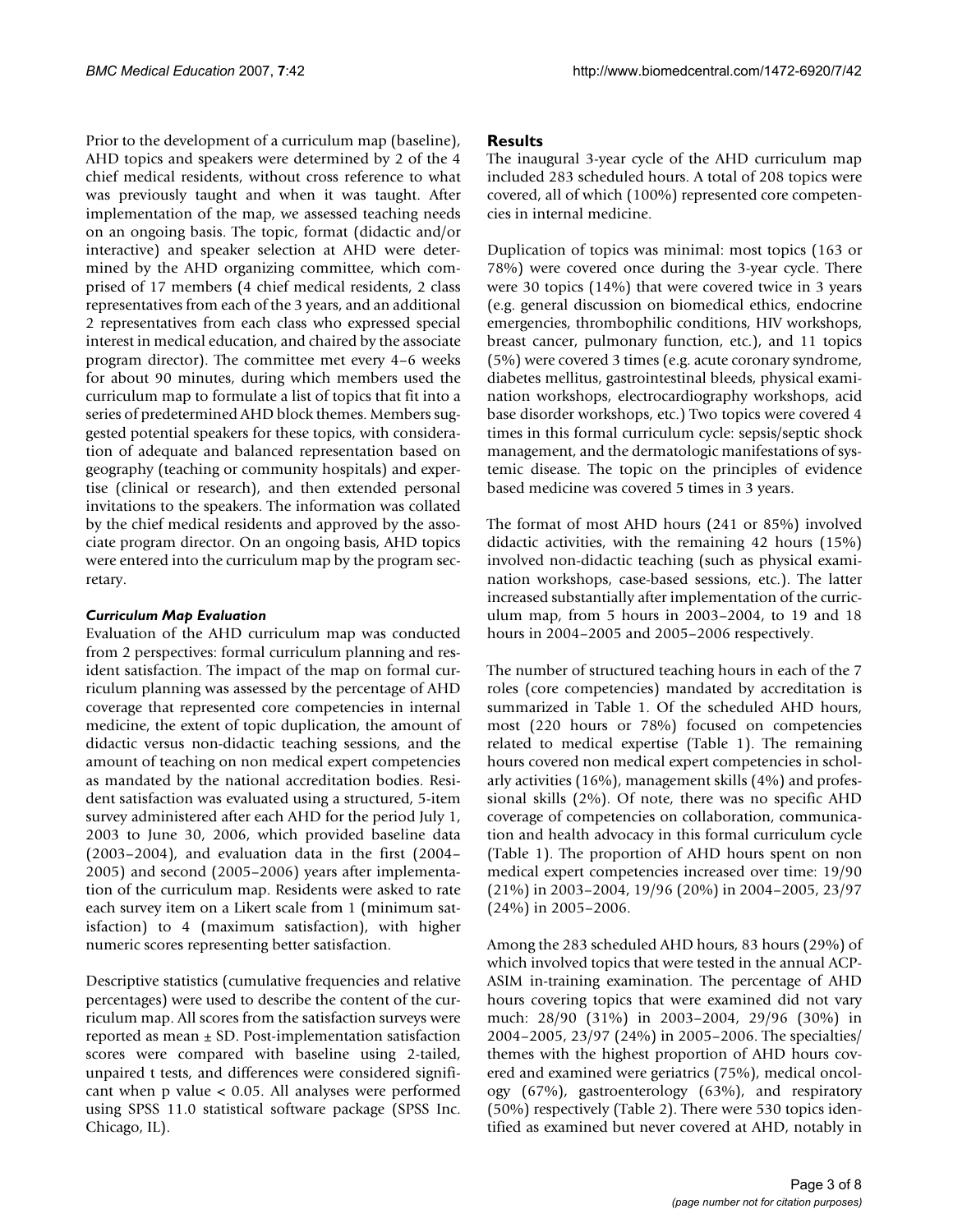Prior to the development of a curriculum map (baseline), AHD topics and speakers were determined by 2 of the 4 chief medical residents, without cross reference to what was previously taught and when it was taught. After implementation of the map, we assessed teaching needs on an ongoing basis. The topic, format (didactic and/or interactive) and speaker selection at AHD were determined by the AHD organizing committee, which comprised of 17 members (4 chief medical residents, 2 class representatives from each of the 3 years, and an additional 2 representatives from each class who expressed special interest in medical education, and chaired by the associate program director). The committee met every 4–6 weeks for about 90 minutes, during which members used the curriculum map to formulate a list of topics that fit into a series of predetermined AHD block themes. Members suggested potential speakers for these topics, with consideration of adequate and balanced representation based on geography (teaching or community hospitals) and expertise (clinical or research), and then extended personal invitations to the speakers. The information was collated by the chief medical residents and approved by the associate program director. On an ongoing basis, AHD topics were entered into the curriculum map by the program secretary.

# *Curriculum Map Evaluation*

Evaluation of the AHD curriculum map was conducted from 2 perspectives: formal curriculum planning and resident satisfaction. The impact of the map on formal curriculum planning was assessed by the percentage of AHD coverage that represented core competencies in internal medicine, the extent of topic duplication, the amount of didactic versus non-didactic teaching sessions, and the amount of teaching on non medical expert competencies as mandated by the national accreditation bodies. Resident satisfaction was evaluated using a structured, 5-item survey administered after each AHD for the period July 1, 2003 to June 30, 2006, which provided baseline data (2003–2004), and evaluation data in the first (2004– 2005) and second (2005–2006) years after implementation of the curriculum map. Residents were asked to rate each survey item on a Likert scale from 1 (minimum satisfaction) to 4 (maximum satisfaction), with higher numeric scores representing better satisfaction.

Descriptive statistics (cumulative frequencies and relative percentages) were used to describe the content of the curriculum map. All scores from the satisfaction surveys were reported as mean ± SD. Post-implementation satisfaction scores were compared with baseline using 2-tailed, unpaired t tests, and differences were considered significant when  $p$  value  $\lt$  0.05. All analyses were performed using SPSS 11.0 statistical software package (SPSS Inc. Chicago, IL).

# **Results**

The inaugural 3-year cycle of the AHD curriculum map included 283 scheduled hours. A total of 208 topics were covered, all of which (100%) represented core competencies in internal medicine.

Duplication of topics was minimal: most topics (163 or 78%) were covered once during the 3-year cycle. There were 30 topics (14%) that were covered twice in 3 years (e.g. general discussion on biomedical ethics, endocrine emergencies, thrombophilic conditions, HIV workshops, breast cancer, pulmonary function, etc.), and 11 topics (5%) were covered 3 times (e.g. acute coronary syndrome, diabetes mellitus, gastrointestinal bleeds, physical examination workshops, electrocardiography workshops, acid base disorder workshops, etc.) Two topics were covered 4 times in this formal curriculum cycle: sepsis/septic shock management, and the dermatologic manifestations of systemic disease. The topic on the principles of evidence based medicine was covered 5 times in 3 years.

The format of most AHD hours (241 or 85%) involved didactic activities, with the remaining 42 hours (15%) involved non-didactic teaching (such as physical examination workshops, case-based sessions, etc.). The latter increased substantially after implementation of the curriculum map, from 5 hours in 2003–2004, to 19 and 18 hours in 2004–2005 and 2005–2006 respectively.

The number of structured teaching hours in each of the 7 roles (core competencies) mandated by accreditation is summarized in Table 1. Of the scheduled AHD hours, most (220 hours or 78%) focused on competencies related to medical expertise (Table 1). The remaining hours covered non medical expert competencies in scholarly activities (16%), management skills (4%) and professional skills (2%). Of note, there was no specific AHD coverage of competencies on collaboration, communication and health advocacy in this formal curriculum cycle (Table 1). The proportion of AHD hours spent on non medical expert competencies increased over time: 19/90 (21%) in 2003–2004, 19/96 (20%) in 2004–2005, 23/97 (24%) in 2005–2006.

Among the 283 scheduled AHD hours, 83 hours (29%) of which involved topics that were tested in the annual ACP-ASIM in-training examination. The percentage of AHD hours covering topics that were examined did not vary much: 28/90 (31%) in 2003–2004, 29/96 (30%) in 2004–2005, 23/97 (24%) in 2005–2006. The specialties/ themes with the highest proportion of AHD hours covered and examined were geriatrics (75%), medical oncology (67%), gastroenterology (63%), and respiratory (50%) respectively (Table 2). There were 530 topics identified as examined but never covered at AHD, notably in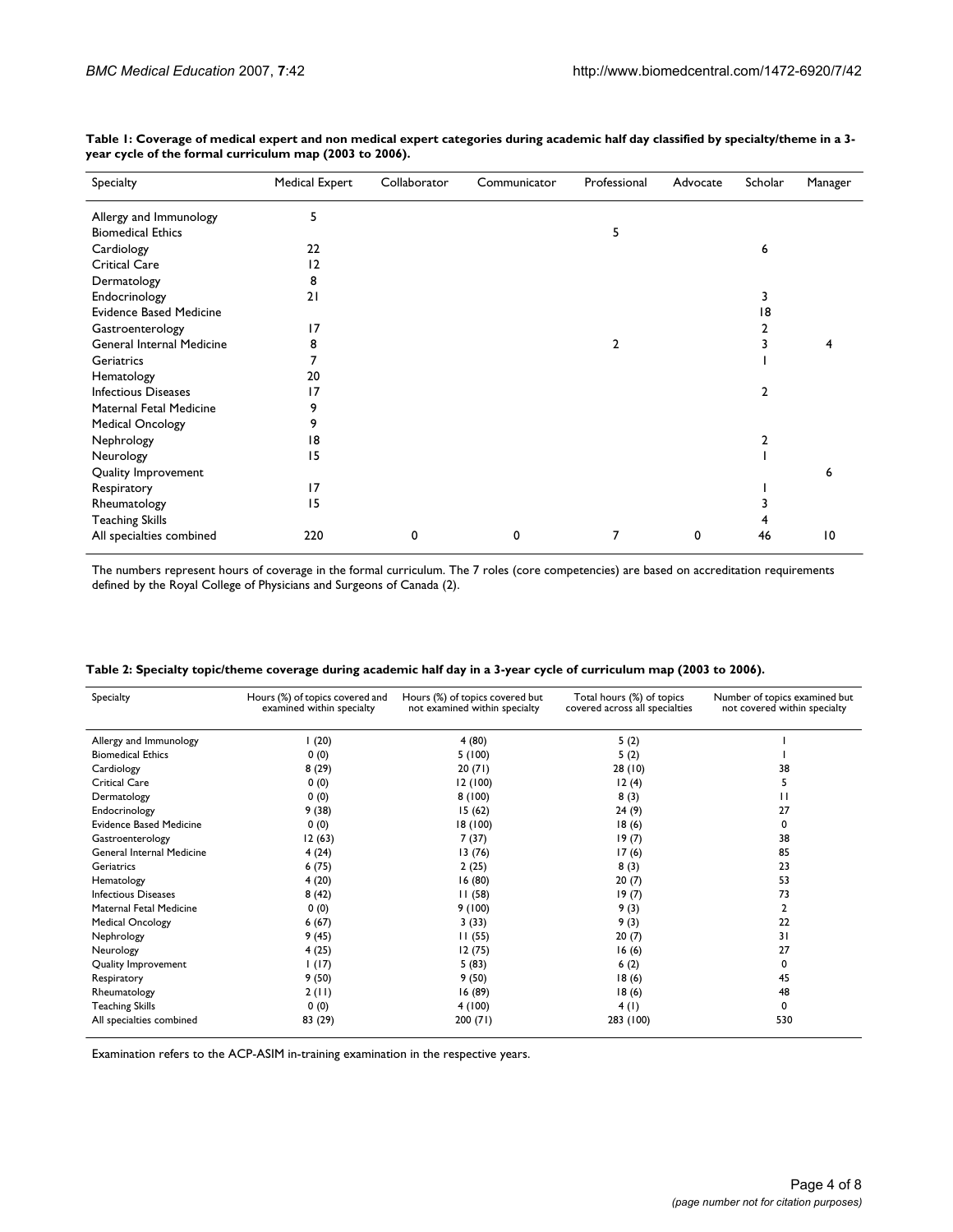| Specialty                      | Medical Expert  | Collaborator | Communicator | Professional   | Advocate | Scholar | Manager         |
|--------------------------------|-----------------|--------------|--------------|----------------|----------|---------|-----------------|
| Allergy and Immunology         | 5               |              |              |                |          |         |                 |
| <b>Biomedical Ethics</b>       |                 |              |              | 5              |          |         |                 |
| Cardiology                     | 22              |              |              |                |          | 6       |                 |
| Critical Care                  | 2               |              |              |                |          |         |                 |
| Dermatology                    | 8               |              |              |                |          |         |                 |
| Endocrinology                  | 21              |              |              |                |          | 3       |                 |
| <b>Evidence Based Medicine</b> |                 |              |              |                |          | 18      |                 |
| Gastroenterology               | 17              |              |              |                |          |         |                 |
| General Internal Medicine      | 8               |              |              | $\overline{2}$ |          |         | 4               |
| Geriatrics                     |                 |              |              |                |          |         |                 |
| Hematology                     | 20              |              |              |                |          |         |                 |
| <b>Infectious Diseases</b>     | $\overline{17}$ |              |              |                |          | 2       |                 |
| Maternal Fetal Medicine        | 9               |              |              |                |          |         |                 |
| <b>Medical Oncology</b>        | 9               |              |              |                |          |         |                 |
| Nephrology                     | 18              |              |              |                |          |         |                 |
| Neurology                      | 15              |              |              |                |          |         |                 |
| Quality Improvement            |                 |              |              |                |          |         | 6               |
| Respiratory                    | $\overline{17}$ |              |              |                |          |         |                 |
| Rheumatology                   | 15              |              |              |                |          |         |                 |
| <b>Teaching Skills</b>         |                 |              |              |                |          |         |                 |
| All specialties combined       | 220             | 0            | 0            | 7              | 0        | 46      | $\overline{10}$ |

**Table 1: Coverage of medical expert and non medical expert categories during academic half day classified by specialty/theme in a 3 year cycle of the formal curriculum map (2003 to 2006).**

The numbers represent hours of coverage in the formal curriculum. The 7 roles (core competencies) are based on accreditation requirements defined by the Royal College of Physicians and Surgeons of Canada (2).

| Specialty                      | Hours (%) of topics covered and<br>examined within specialty | Hours (%) of topics covered but<br>not examined within specialty | Total hours (%) of topics<br>covered across all specialties | Number of topics examined but<br>not covered within specialty |  |
|--------------------------------|--------------------------------------------------------------|------------------------------------------------------------------|-------------------------------------------------------------|---------------------------------------------------------------|--|
| Allergy and Immunology         | 1(20)                                                        | 4(80)                                                            | 5(2)                                                        |                                                               |  |
| <b>Biomedical Ethics</b>       | 0(0)                                                         | 5(100)                                                           | 5(2)                                                        |                                                               |  |
| Cardiology                     | 8(29)                                                        | 20(71)                                                           | 28(10)                                                      | 38                                                            |  |
| <b>Critical Care</b>           | 0(0)                                                         | 12 (100)                                                         | 12(4)                                                       | 5                                                             |  |
| Dermatology                    | 0(0)                                                         | 8(100)                                                           | 8(3)                                                        | Н                                                             |  |
| Endocrinology                  | 9(38)                                                        | 15(62)                                                           | 24(9)                                                       | 27                                                            |  |
| <b>Evidence Based Medicine</b> | 0(0)                                                         | 18(100)                                                          | 18(6)                                                       | 0                                                             |  |
| Gastroenterology               | 12(63)                                                       | 7(37)                                                            | 19(7)                                                       | 38                                                            |  |
| General Internal Medicine      | 4(24)                                                        | 13(76)                                                           | 17(6)                                                       | 85                                                            |  |
| Geriatrics                     | 6(75)                                                        | 2(25)                                                            | 8(3)                                                        | 23                                                            |  |
| Hematology                     | 4(20)                                                        | 16(80)                                                           | 20(7)                                                       | 53                                                            |  |
| <b>Infectious Diseases</b>     | 8(42)                                                        | 11(58)                                                           | 19(7)                                                       | 73                                                            |  |
| Maternal Fetal Medicine        | 0(0)                                                         | 9(100)                                                           | 9(3)                                                        | 2                                                             |  |
| <b>Medical Oncology</b>        | 6(67)                                                        | 3(33)                                                            | 9(3)                                                        | 22                                                            |  |
| Nephrology                     | 9(45)                                                        | 11(55)                                                           | 20(7)                                                       | 31                                                            |  |
| Neurology                      | 4(25)                                                        | 12(75)                                                           | 16(6)                                                       | 27                                                            |  |
| Quality Improvement            | 1(17)                                                        | 5(83)                                                            | 6(2)                                                        | 0                                                             |  |
| Respiratory                    | 9(50)                                                        | 9(50)                                                            | 18(6)                                                       | 45                                                            |  |
| Rheumatology                   | 2(11)                                                        | 16 (89)                                                          | 18(6)                                                       | 48                                                            |  |
| <b>Teaching Skills</b>         | 0(0)                                                         | 4(100)                                                           | 4(1)                                                        | 0                                                             |  |
| All specialties combined       | 83 (29)                                                      | 200(71)                                                          | 283 (100)                                                   | 530                                                           |  |

**Table 2: Specialty topic/theme coverage during academic half day in a 3-year cycle of curriculum map (2003 to 2006).**

Examination refers to the ACP-ASIM in-training examination in the respective years.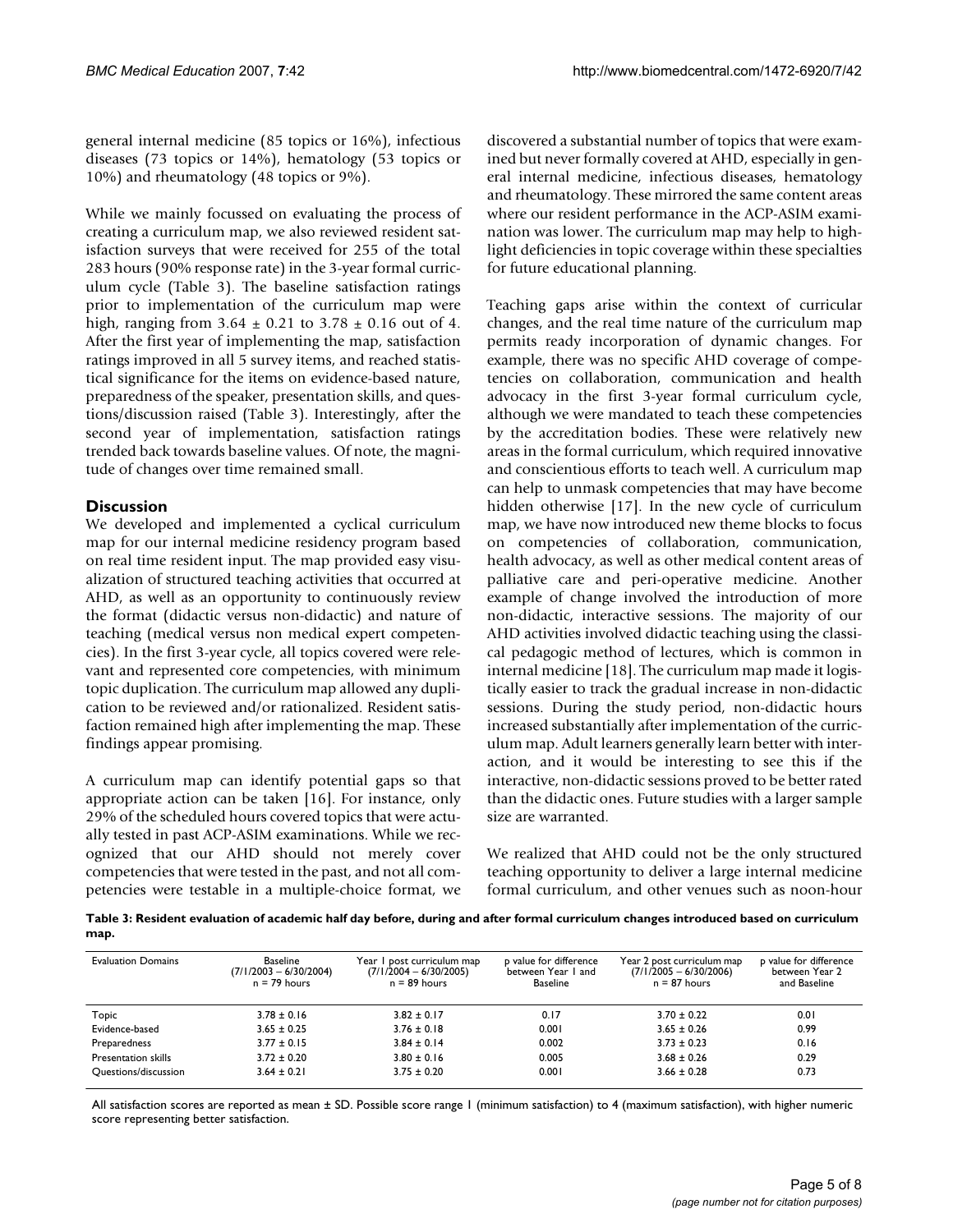general internal medicine (85 topics or 16%), infectious diseases (73 topics or 14%), hematology (53 topics or 10%) and rheumatology (48 topics or 9%).

While we mainly focussed on evaluating the process of creating a curriculum map, we also reviewed resident satisfaction surveys that were received for 255 of the total 283 hours (90% response rate) in the 3-year formal curriculum cycle (Table 3). The baseline satisfaction ratings prior to implementation of the curriculum map were high, ranging from  $3.64 \pm 0.21$  to  $3.78 \pm 0.16$  out of 4. After the first year of implementing the map, satisfaction ratings improved in all 5 survey items, and reached statistical significance for the items on evidence-based nature, preparedness of the speaker, presentation skills, and questions/discussion raised (Table 3). Interestingly, after the second year of implementation, satisfaction ratings trended back towards baseline values. Of note, the magnitude of changes over time remained small.

# **Discussion**

We developed and implemented a cyclical curriculum map for our internal medicine residency program based on real time resident input. The map provided easy visualization of structured teaching activities that occurred at AHD, as well as an opportunity to continuously review the format (didactic versus non-didactic) and nature of teaching (medical versus non medical expert competencies). In the first 3-year cycle, all topics covered were relevant and represented core competencies, with minimum topic duplication. The curriculum map allowed any duplication to be reviewed and/or rationalized. Resident satisfaction remained high after implementing the map. These findings appear promising.

A curriculum map can identify potential gaps so that appropriate action can be taken [16]. For instance, only 29% of the scheduled hours covered topics that were actually tested in past ACP-ASIM examinations. While we recognized that our AHD should not merely cover competencies that were tested in the past, and not all competencies were testable in a multiple-choice format, we discovered a substantial number of topics that were examined but never formally covered at AHD, especially in general internal medicine, infectious diseases, hematology and rheumatology. These mirrored the same content areas where our resident performance in the ACP-ASIM examination was lower. The curriculum map may help to highlight deficiencies in topic coverage within these specialties for future educational planning.

Teaching gaps arise within the context of curricular changes, and the real time nature of the curriculum map permits ready incorporation of dynamic changes. For example, there was no specific AHD coverage of competencies on collaboration, communication and health advocacy in the first 3-year formal curriculum cycle, although we were mandated to teach these competencies by the accreditation bodies. These were relatively new areas in the formal curriculum, which required innovative and conscientious efforts to teach well. A curriculum map can help to unmask competencies that may have become hidden otherwise [17]. In the new cycle of curriculum map, we have now introduced new theme blocks to focus on competencies of collaboration, communication, health advocacy, as well as other medical content areas of palliative care and peri-operative medicine. Another example of change involved the introduction of more non-didactic, interactive sessions. The majority of our AHD activities involved didactic teaching using the classical pedagogic method of lectures, which is common in internal medicine [18]. The curriculum map made it logistically easier to track the gradual increase in non-didactic sessions. During the study period, non-didactic hours increased substantially after implementation of the curriculum map. Adult learners generally learn better with interaction, and it would be interesting to see this if the interactive, non-didactic sessions proved to be better rated than the didactic ones. Future studies with a larger sample size are warranted.

We realized that AHD could not be the only structured teaching opportunity to deliver a large internal medicine formal curriculum, and other venues such as noon-hour

**Table 3: Resident evaluation of academic half day before, during and after formal curriculum changes introduced based on curriculum map.**

| <b>Evaluation Domains</b> | <b>Baseline</b><br>$(7/1/2003 - 6/30/2004)$<br>$n = 79$ hours | Year I post curriculum map<br>$(7/1/2004 - 6/30/2005)$<br>$n = 89$ hours | p value for difference<br>between Year I and<br><b>Baseline</b> | Year 2 post curriculum map<br>$(7/1/2005 - 6/30/2006)$<br>$n = 87$ hours | p value for difference<br>between Year 2<br>and Baseline |
|---------------------------|---------------------------------------------------------------|--------------------------------------------------------------------------|-----------------------------------------------------------------|--------------------------------------------------------------------------|----------------------------------------------------------|
| Topic                     | $3.78 \pm 0.16$                                               | $3.82 \pm 0.17$                                                          | 0.17                                                            | $3.70 \pm 0.22$                                                          | 0.01                                                     |
| Evidence-based            | $3.65 \pm 0.25$                                               | $3.76 \pm 0.18$                                                          | 0.001                                                           | $3.65 \pm 0.26$                                                          | 0.99                                                     |
| Preparedness              | $3.77 \pm 0.15$                                               | $3.84 \pm 0.14$                                                          | 0.002                                                           | $3.73 \pm 0.23$                                                          | 0.16                                                     |
| Presentation skills       | $3.72 \pm 0.20$                                               | $3.80 \pm 0.16$                                                          | 0.005                                                           | $3.68 \pm 0.26$                                                          | 0.29                                                     |
| Ouestions/discussion      | $3.64 \pm 0.21$                                               | $3.75 \pm 0.20$                                                          | 0.001                                                           | $3.66 \pm 0.28$                                                          | 0.73                                                     |

All satisfaction scores are reported as mean ± SD. Possible score range 1 (minimum satisfaction) to 4 (maximum satisfaction), with higher numeric score representing better satisfaction.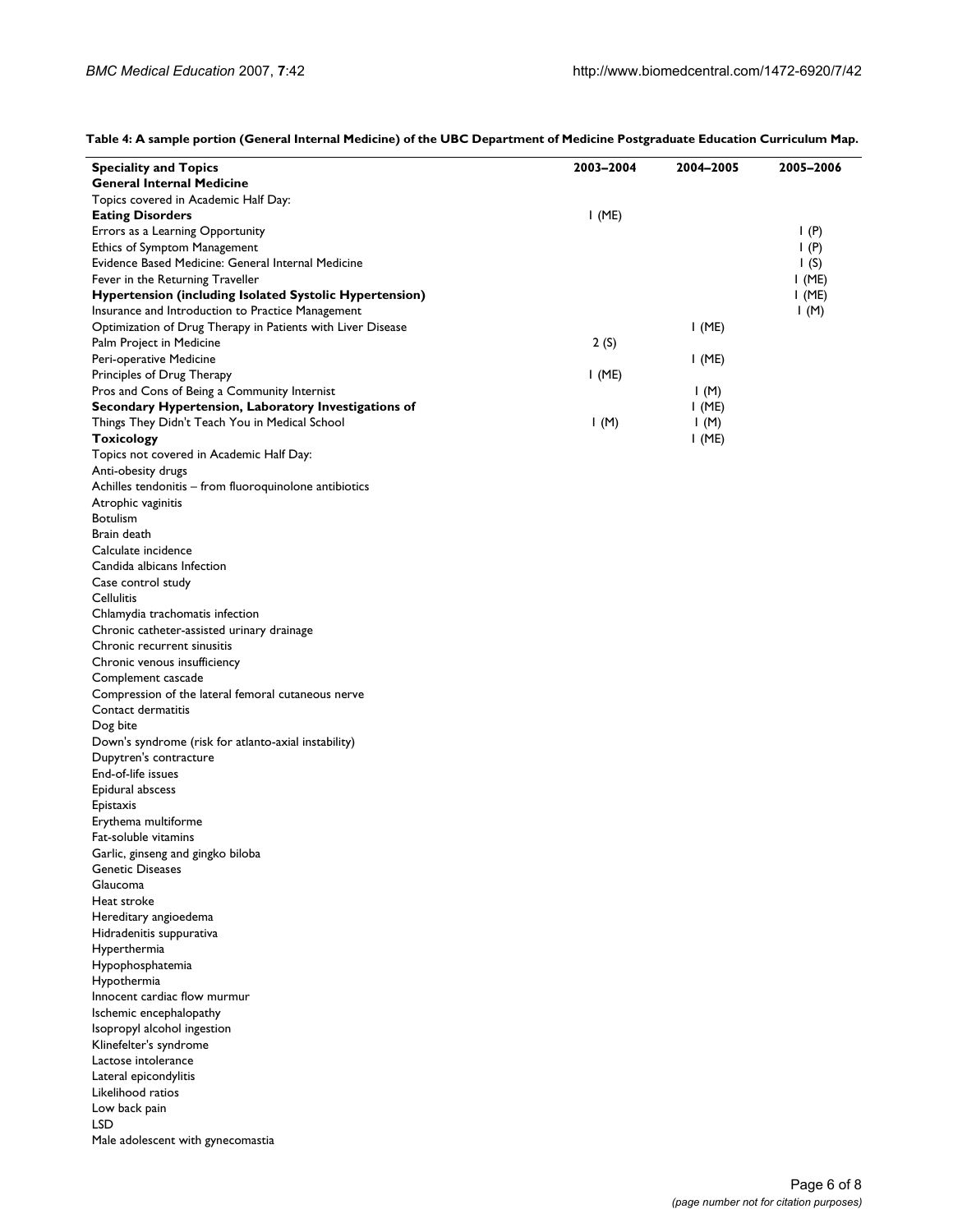**Table 4: A sample portion (General Internal Medicine) of the UBC Department of Medicine Postgraduate Education Curriculum Map.**

| <b>Speciality and Topics</b>                                | 2003–2004 | 2004-2005        | 2005-2006 |
|-------------------------------------------------------------|-----------|------------------|-----------|
| <b>General Internal Medicine</b>                            |           |                  |           |
| Topics covered in Academic Half Day:                        |           |                  |           |
| <b>Eating Disorders</b>                                     | I(ME)     |                  |           |
| Errors as a Learning Opportunity                            |           |                  | I(P)      |
| Ethics of Symptom Management                                |           |                  | I(P)      |
| Evidence Based Medicine: General Internal Medicine          |           |                  | I(S)      |
| Fever in the Returning Traveller                            |           |                  | I (ME)    |
| Hypertension (including Isolated Systolic Hypertension)     |           |                  | I (ME)    |
| Insurance and Introduction to Practice Management           |           |                  | I(M)      |
| Optimization of Drug Therapy in Patients with Liver Disease |           | I(ME)            |           |
| Palm Project in Medicine                                    | 2(S)      |                  |           |
| Peri-operative Medicine                                     |           | I(ME)            |           |
| Principles of Drug Therapy                                  | I (ME)    |                  |           |
| Pros and Cons of Being a Community Internist                |           | I(M)             |           |
| Secondary Hypertension, Laboratory Investigations of        |           | I (ME)           |           |
| Things They Didn't Teach You in Medical School              | I(M)      | $\mathsf{I}$ (M) |           |
| <b>Toxicology</b>                                           |           | I (ME)           |           |
| Topics not covered in Academic Half Day:                    |           |                  |           |
| Anti-obesity drugs                                          |           |                  |           |
| Achilles tendonitis – from fluoroquinolone antibiotics      |           |                  |           |
| Atrophic vaginitis                                          |           |                  |           |
| <b>Botulism</b>                                             |           |                  |           |
| Brain death                                                 |           |                  |           |
| Calculate incidence                                         |           |                  |           |
| Candida albicans Infection                                  |           |                  |           |
| Case control study                                          |           |                  |           |
| <b>Cellulitis</b>                                           |           |                  |           |
| Chlamydia trachomatis infection                             |           |                  |           |
| Chronic catheter-assisted urinary drainage                  |           |                  |           |
| Chronic recurrent sinusitis                                 |           |                  |           |
| Chronic venous insufficiency                                |           |                  |           |
| Complement cascade                                          |           |                  |           |
| Compression of the lateral femoral cutaneous nerve          |           |                  |           |
| Contact dermatitis                                          |           |                  |           |
| Dog bite                                                    |           |                  |           |
| Down's syndrome (risk for atlanto-axial instability)        |           |                  |           |
| Dupytren's contracture                                      |           |                  |           |
| End-of-life issues                                          |           |                  |           |
| Epidural abscess                                            |           |                  |           |
| Epistaxis                                                   |           |                  |           |
| Erythema multiforme                                         |           |                  |           |
| Fat-soluble vitamins                                        |           |                  |           |
| Garlic, ginseng and gingko biloba                           |           |                  |           |
| <b>Genetic Diseases</b>                                     |           |                  |           |
| Glaucoma                                                    |           |                  |           |
| Heat stroke                                                 |           |                  |           |
|                                                             |           |                  |           |
| Hereditary angioedema                                       |           |                  |           |
| Hidradenitis suppurativa                                    |           |                  |           |
| Hyperthermia                                                |           |                  |           |
| Hypophosphatemia                                            |           |                  |           |
| Hypothermia<br>Innocent cardiac flow murmur                 |           |                  |           |
|                                                             |           |                  |           |
| Ischemic encephalopathy                                     |           |                  |           |
| Isopropyl alcohol ingestion                                 |           |                  |           |
| Klinefelter's syndrome                                      |           |                  |           |
| Lactose intolerance                                         |           |                  |           |
| Lateral epicondylitis                                       |           |                  |           |
| Likelihood ratios                                           |           |                  |           |
| Low back pain                                               |           |                  |           |
| LSD                                                         |           |                  |           |
| Male adolescent with gynecomastia                           |           |                  |           |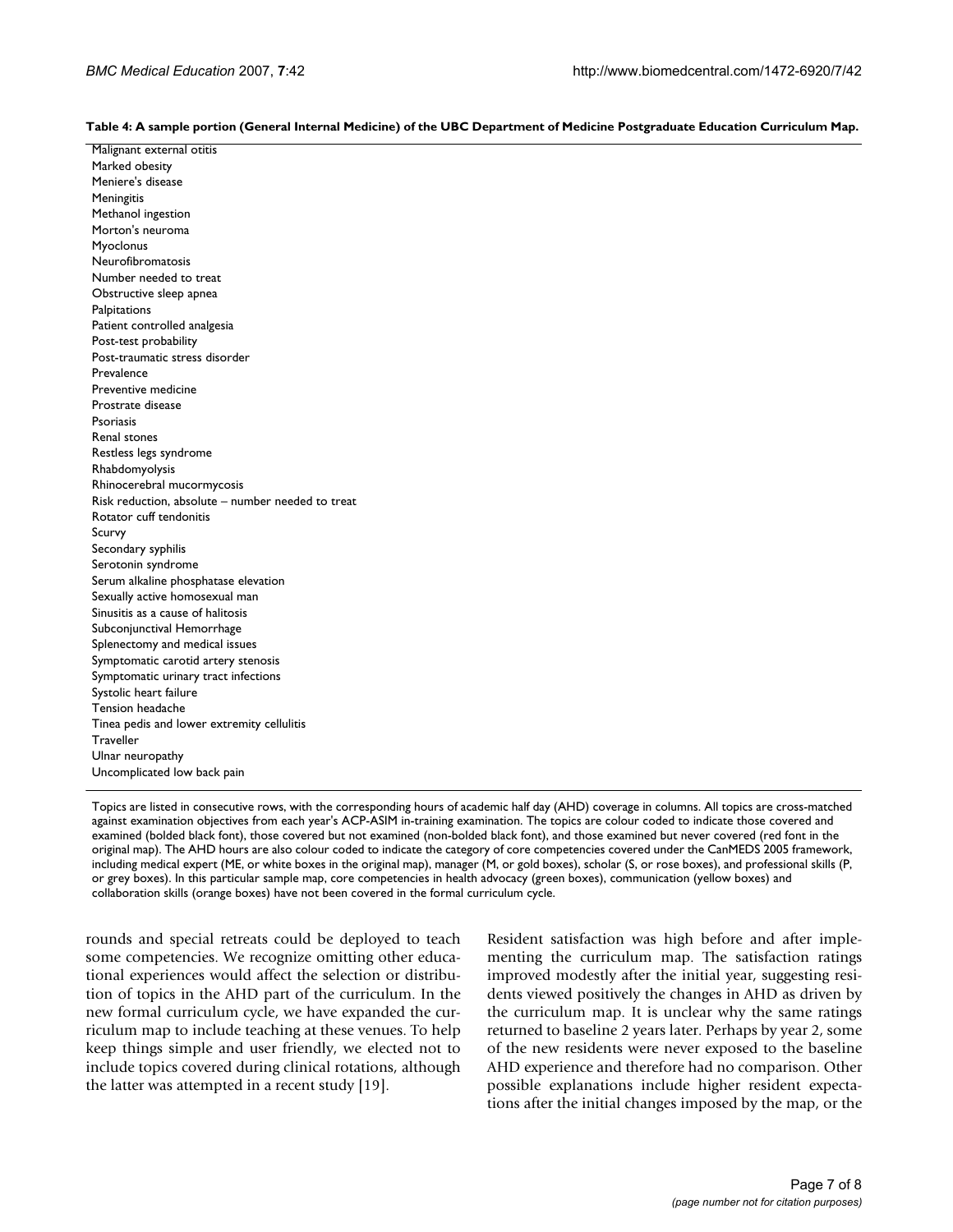| Table 4: A sample portion (General Internal Medicine) of the UBC Department of Medicine Postgraduate Education Curriculum Map. |  |  |  |
|--------------------------------------------------------------------------------------------------------------------------------|--|--|--|
|                                                                                                                                |  |  |  |

Malignant external otitis Marked obesity Meniere's disease Meningitis Methanol ingestion Morton's neuroma Myoclonus Neurofibromatosis Number needed to treat Obstructive sleep apnea Palpitations Patient controlled analgesia Post-test probability Post-traumatic stress disorder Prevalence Preventive medicine Prostrate disease Psoriasis Renal stones Restless legs syndrome Rhabdomyolysis Rhinocerebral mucormycosis Risk reduction, absolute – number needed to treat Rotator cuff tendonitis Scurvy Secondary syphilis Serotonin syndrome Serum alkaline phosphatase elevation Sexually active homosexual man Sinusitis as a cause of halitosis Subconjunctival Hemorrhage Splenectomy and medical issues Symptomatic carotid artery stenosis Symptomatic urinary tract infections Systolic heart failure Tension headache Tinea pedis and lower extremity cellulitis **Traveller** Ulnar neuropathy Uncomplicated low back pain

Topics are listed in consecutive rows, with the corresponding hours of academic half day (AHD) coverage in columns. All topics are cross-matched against examination objectives from each year's ACP-ASIM in-training examination. The topics are colour coded to indicate those covered and examined (bolded black font), those covered but not examined (non-bolded black font), and those examined but never covered (red font in the original map). The AHD hours are also colour coded to indicate the category of core competencies covered under the CanMEDS 2005 framework, including medical expert (ME, or white boxes in the original map), manager (M, or gold boxes), scholar (S, or rose boxes), and professional skills (P, or grey boxes). In this particular sample map, core competencies in health advocacy (green boxes), communication (yellow boxes) and collaboration skills (orange boxes) have not been covered in the formal curriculum cycle.

rounds and special retreats could be deployed to teach some competencies. We recognize omitting other educational experiences would affect the selection or distribution of topics in the AHD part of the curriculum. In the new formal curriculum cycle, we have expanded the curriculum map to include teaching at these venues. To help keep things simple and user friendly, we elected not to include topics covered during clinical rotations, although the latter was attempted in a recent study [19].

Resident satisfaction was high before and after implementing the curriculum map. The satisfaction ratings improved modestly after the initial year, suggesting residents viewed positively the changes in AHD as driven by the curriculum map. It is unclear why the same ratings returned to baseline 2 years later. Perhaps by year 2, some of the new residents were never exposed to the baseline AHD experience and therefore had no comparison. Other possible explanations include higher resident expectations after the initial changes imposed by the map, or the